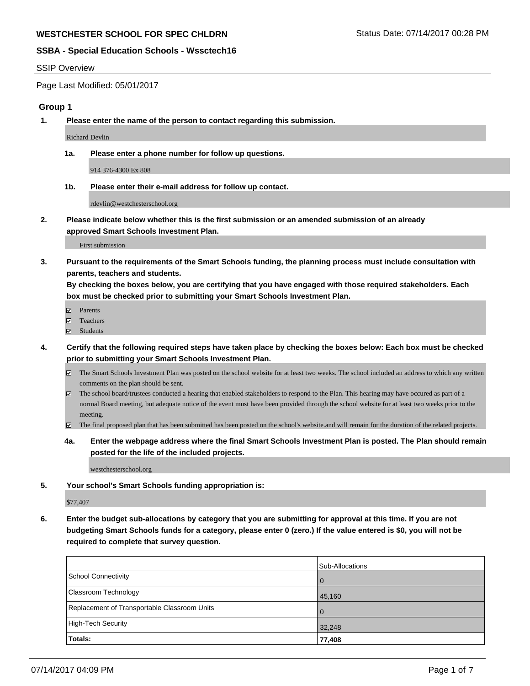#### SSIP Overview

Page Last Modified: 05/01/2017

#### **Group 1**

**1. Please enter the name of the person to contact regarding this submission.**

Richard Devlin

**1a. Please enter a phone number for follow up questions.**

914 376-4300 Ex 808

**1b. Please enter their e-mail address for follow up contact.**

rdevlin@westchesterschool.org

**2. Please indicate below whether this is the first submission or an amended submission of an already approved Smart Schools Investment Plan.**

First submission

**3. Pursuant to the requirements of the Smart Schools funding, the planning process must include consultation with parents, teachers and students.**

**By checking the boxes below, you are certifying that you have engaged with those required stakeholders. Each box must be checked prior to submitting your Smart Schools Investment Plan.**

- **Ø** Parents
- Teachers
- Students
- **4. Certify that the following required steps have taken place by checking the boxes below: Each box must be checked prior to submitting your Smart Schools Investment Plan.**
	- $\Xi$  The Smart Schools Investment Plan was posted on the school website for at least two weeks. The school included an address to which any written comments on the plan should be sent.
	- The school board/trustees conducted a hearing that enabled stakeholders to respond to the Plan. This hearing may have occured as part of a normal Board meeting, but adequate notice of the event must have been provided through the school website for at least two weeks prior to the meeting.
	- The final proposed plan that has been submitted has been posted on the school's website.and will remain for the duration of the related projects.
	- **4a. Enter the webpage address where the final Smart Schools Investment Plan is posted. The Plan should remain posted for the life of the included projects.**

westchesterschool.org

**5. Your school's Smart Schools funding appropriation is:**

\$77,407

**6. Enter the budget sub-allocations by category that you are submitting for approval at this time. If you are not budgeting Smart Schools funds for a category, please enter 0 (zero.) If the value entered is \$0, you will not be required to complete that survey question.**

|                                              | Sub-Allocations |
|----------------------------------------------|-----------------|
| School Connectivity                          | $\Omega$        |
| <b>Classroom Technology</b>                  | 45,160          |
| Replacement of Transportable Classroom Units | $\Omega$        |
| High-Tech Security                           | 32,248          |
| Totals:                                      | 77,408          |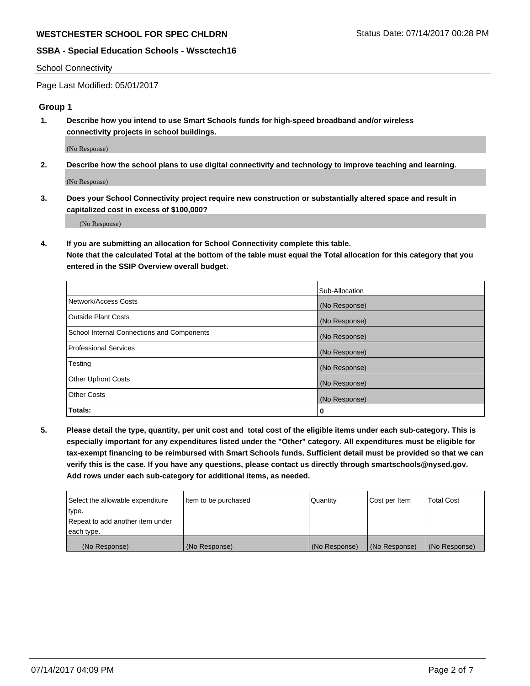#### School Connectivity

Page Last Modified: 05/01/2017

## **Group 1**

**1. Describe how you intend to use Smart Schools funds for high-speed broadband and/or wireless connectivity projects in school buildings.**

(No Response)

**2. Describe how the school plans to use digital connectivity and technology to improve teaching and learning.**

(No Response)

**3. Does your School Connectivity project require new construction or substantially altered space and result in capitalized cost in excess of \$100,000?**

(No Response)

**4. If you are submitting an allocation for School Connectivity complete this table.**

**Note that the calculated Total at the bottom of the table must equal the Total allocation for this category that you entered in the SSIP Overview overall budget.** 

|                                            | Sub-Allocation |
|--------------------------------------------|----------------|
| Network/Access Costs                       | (No Response)  |
| Outside Plant Costs                        | (No Response)  |
| School Internal Connections and Components | (No Response)  |
| <b>Professional Services</b>               | (No Response)  |
| Testing                                    | (No Response)  |
| <b>Other Upfront Costs</b>                 | (No Response)  |
| <b>Other Costs</b>                         | (No Response)  |
| Totals:                                    | 0              |

**5. Please detail the type, quantity, per unit cost and total cost of the eligible items under each sub-category. This is especially important for any expenditures listed under the "Other" category. All expenditures must be eligible for tax-exempt financing to be reimbursed with Smart Schools funds. Sufficient detail must be provided so that we can verify this is the case. If you have any questions, please contact us directly through smartschools@nysed.gov. Add rows under each sub-category for additional items, as needed.**

| Select the allowable expenditure | Item to be purchased | Quantity      | Cost per Item | <b>Total Cost</b> |
|----------------------------------|----------------------|---------------|---------------|-------------------|
| type.                            |                      |               |               |                   |
| Repeat to add another item under |                      |               |               |                   |
| each type.                       |                      |               |               |                   |
| (No Response)                    | (No Response)        | (No Response) | (No Response) | (No Response)     |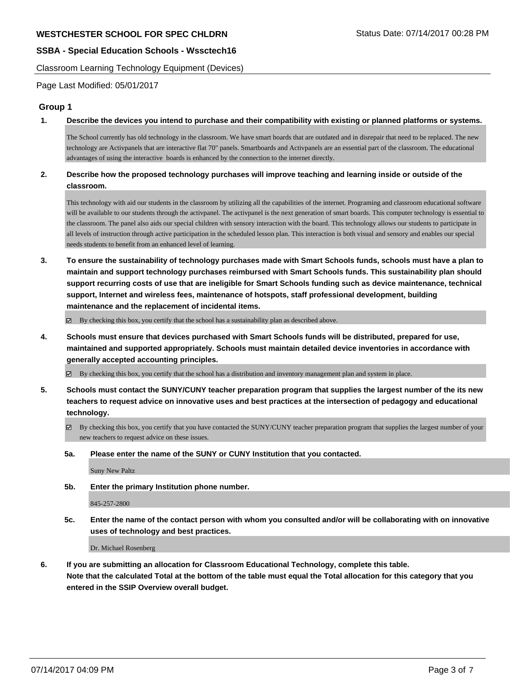Classroom Learning Technology Equipment (Devices)

Page Last Modified: 05/01/2017

#### **Group 1**

**1. Describe the devices you intend to purchase and their compatibility with existing or planned platforms or systems.**

The School currently has old technology in the classroom. We have smart boards that are outdated and in disrepair that need to be replaced. The new technology are Activpanels that are interactive flat 70" panels. Smartboards and Activpanels are an essential part of the classroom. The educational advantages of using the interactive boards is enhanced by the connection to the internet directly.

## **2. Describe how the proposed technology purchases will improve teaching and learning inside or outside of the classroom.**

This technology with aid our students in the classroom by utilizing all the capabilities of the internet. Programing and classroom educational software will be available to our students through the activpanel. The activpanel is the next generation of smart boards. This computer technology is essential to the classroom. The panel also aids our special children with sensory interaction with the board. This technology allows our students to participate in all levels of instruction through active participation in the scheduled lesson plan. This interaction is both visual and sensory and enables our special needs students to benefit from an enhanced level of learning.

**3. To ensure the sustainability of technology purchases made with Smart Schools funds, schools must have a plan to maintain and support technology purchases reimbursed with Smart Schools funds. This sustainability plan should support recurring costs of use that are ineligible for Smart Schools funding such as device maintenance, technical support, Internet and wireless fees, maintenance of hotspots, staff professional development, building maintenance and the replacement of incidental items.**

 $\boxtimes$  By checking this box, you certify that the school has a sustainability plan as described above.

**4. Schools must ensure that devices purchased with Smart Schools funds will be distributed, prepared for use, maintained and supported appropriately. Schools must maintain detailed device inventories in accordance with generally accepted accounting principles.**

By checking this box, you certify that the school has a distribution and inventory management plan and system in place.

- **5. Schools must contact the SUNY/CUNY teacher preparation program that supplies the largest number of the its new teachers to request advice on innovative uses and best practices at the intersection of pedagogy and educational technology.**
	- By checking this box, you certify that you have contacted the SUNY/CUNY teacher preparation program that supplies the largest number of your new teachers to request advice on these issues.
	- **5a. Please enter the name of the SUNY or CUNY Institution that you contacted.**

Suny New Paltz

**5b. Enter the primary Institution phone number.**

845-257-2800

**5c. Enter the name of the contact person with whom you consulted and/or will be collaborating with on innovative uses of technology and best practices.**

Dr. Michael Rosenberg

**6. If you are submitting an allocation for Classroom Educational Technology, complete this table. Note that the calculated Total at the bottom of the table must equal the Total allocation for this category that you entered in the SSIP Overview overall budget.**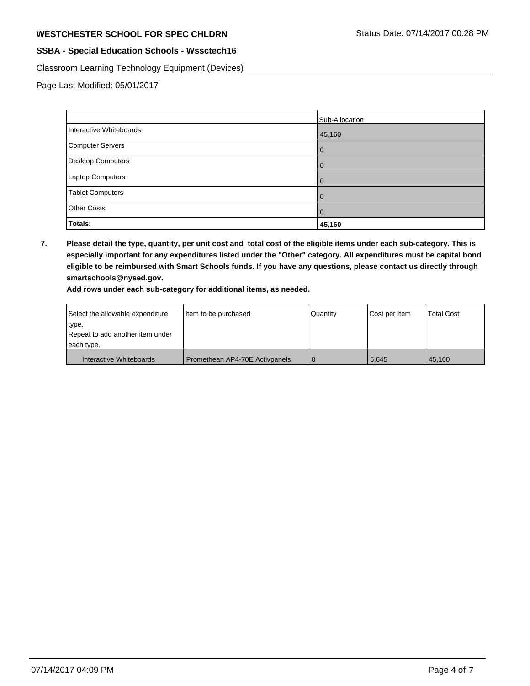Classroom Learning Technology Equipment (Devices)

Page Last Modified: 05/01/2017

|                          | Sub-Allocation |
|--------------------------|----------------|
| Interactive Whiteboards  | 45,160         |
| Computer Servers         | $\Omega$       |
| <b>Desktop Computers</b> | 0              |
| Laptop Computers         |                |
| <b>Tablet Computers</b>  |                |
| <b>Other Costs</b>       |                |
| Totals:                  | 45,160         |

**7. Please detail the type, quantity, per unit cost and total cost of the eligible items under each sub-category. This is especially important for any expenditures listed under the "Other" category. All expenditures must be capital bond eligible to be reimbursed with Smart Schools funds. If you have any questions, please contact us directly through smartschools@nysed.gov.**

**Add rows under each sub-category for additional items, as needed.**

| Select the allowable expenditure | Item to be purchased           | Quantity | Cost per Item | <b>Total Cost</b> |
|----------------------------------|--------------------------------|----------|---------------|-------------------|
| type.                            |                                |          |               |                   |
| Repeat to add another item under |                                |          |               |                   |
| each type.                       |                                |          |               |                   |
| Interactive Whiteboards          | Promethean AP4-70E Activpanels |          | 5.645         | 45.160            |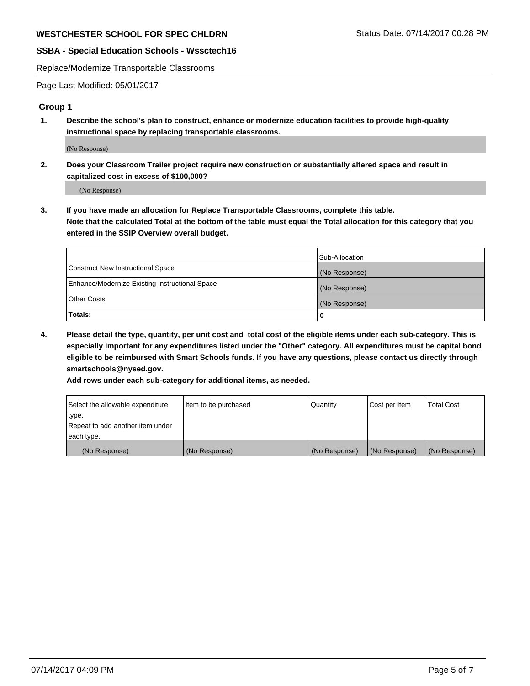Replace/Modernize Transportable Classrooms

Page Last Modified: 05/01/2017

#### **Group 1**

**1. Describe the school's plan to construct, enhance or modernize education facilities to provide high-quality instructional space by replacing transportable classrooms.**

(No Response)

**2. Does your Classroom Trailer project require new construction or substantially altered space and result in capitalized cost in excess of \$100,000?**

(No Response)

**3. If you have made an allocation for Replace Transportable Classrooms, complete this table. Note that the calculated Total at the bottom of the table must equal the Total allocation for this category that you entered in the SSIP Overview overall budget.**

|                                                | Sub-Allocation |
|------------------------------------------------|----------------|
| Construct New Instructional Space              | (No Response)  |
| Enhance/Modernize Existing Instructional Space | (No Response)  |
| <b>Other Costs</b>                             | (No Response)  |
| Totals:                                        | 0              |

**4. Please detail the type, quantity, per unit cost and total cost of the eligible items under each sub-category. This is especially important for any expenditures listed under the "Other" category. All expenditures must be capital bond eligible to be reimbursed with Smart Schools funds. If you have any questions, please contact us directly through smartschools@nysed.gov.**

**Add rows under each sub-category for additional items, as needed.**

| Select the allowable expenditure | Item to be purchased | Quantity      | Cost per Item | <b>Total Cost</b> |
|----------------------------------|----------------------|---------------|---------------|-------------------|
| type.                            |                      |               |               |                   |
| Repeat to add another item under |                      |               |               |                   |
| each type.                       |                      |               |               |                   |
| (No Response)                    | (No Response)        | (No Response) | (No Response) | (No Response)     |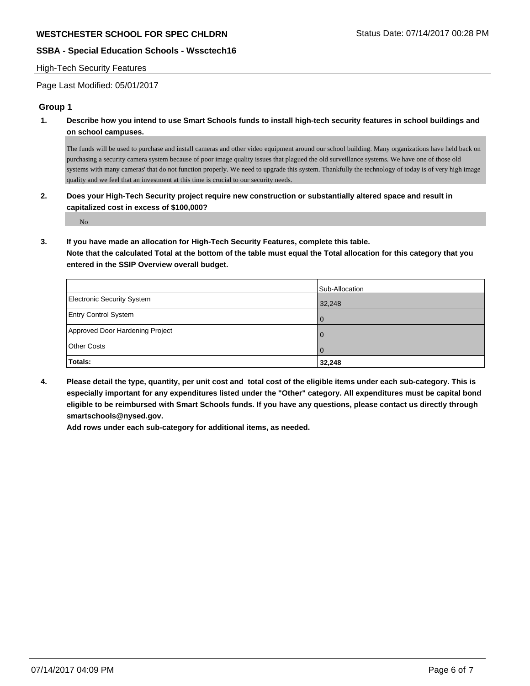#### High-Tech Security Features

Page Last Modified: 05/01/2017

## **Group 1**

**1. Describe how you intend to use Smart Schools funds to install high-tech security features in school buildings and on school campuses.**

The funds will be used to purchase and install cameras and other video equipment around our school building. Many organizations have held back on purchasing a security camera system because of poor image quality issues that plagued the old surveillance systems. We have one of those old systems with many cameras' that do not function properly. We need to upgrade this system. Thankfully the technology of today is of very high image quality and we feel that an investment at this time is crucial to our security needs.

**2. Does your High-Tech Security project require new construction or substantially altered space and result in capitalized cost in excess of \$100,000?**

No

**3. If you have made an allocation for High-Tech Security Features, complete this table.**

**Note that the calculated Total at the bottom of the table must equal the Total allocation for this category that you entered in the SSIP Overview overall budget.**

|                                   | Sub-Allocation |
|-----------------------------------|----------------|
| <b>Electronic Security System</b> | 32,248         |
| <b>Entry Control System</b>       | I 0            |
| Approved Door Hardening Project   | I 0            |
| <b>Other Costs</b>                | $\Omega$       |
| Totals:                           | 32,248         |

**4. Please detail the type, quantity, per unit cost and total cost of the eligible items under each sub-category. This is especially important for any expenditures listed under the "Other" category. All expenditures must be capital bond eligible to be reimbursed with Smart Schools funds. If you have any questions, please contact us directly through smartschools@nysed.gov.**

**Add rows under each sub-category for additional items, as needed.**